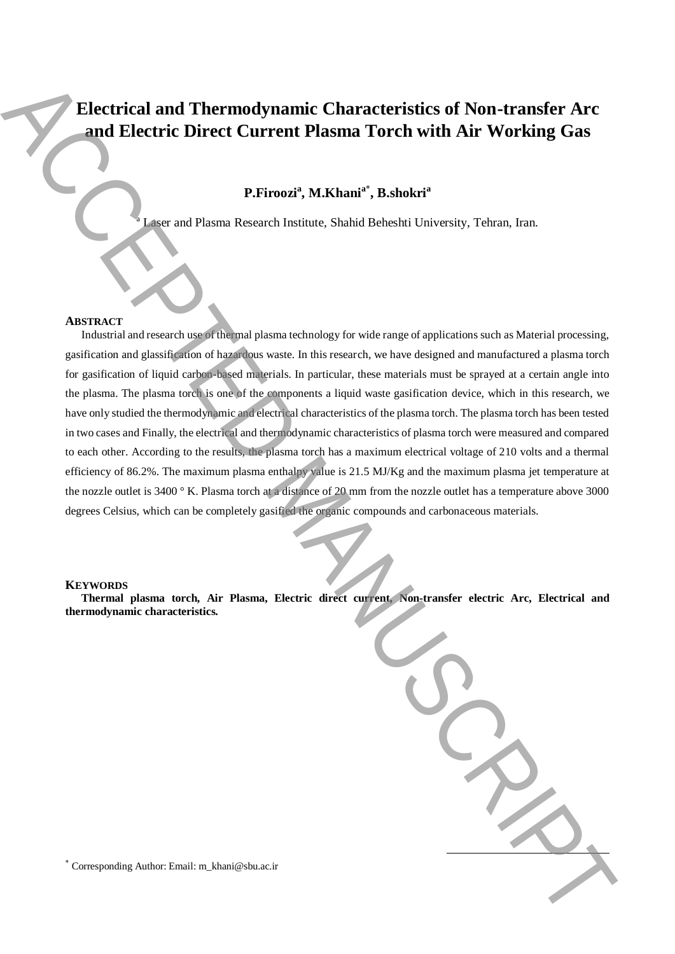# **Electrical and Thermodynamic Characteristics of Non-transfer Arc and Electric Direct Current Plasma Torch with Air Working Gas**

# **P.Firoozi<sup>a</sup> , M.Khani<sup>a</sup>**\* **, B.shokri<sup>a</sup>**

<sup>a</sup> Laser and Plasma Research Institute, Shahid Beheshti University, Tehran, Iran.

## **ABSTRACT**

Industrial and research use of thermal plasma technology for wide range of applications such as Material processing, gasification and glassification of hazardous waste. In this research, we have designed and manufactured a plasma torch for gasification of liquid carbon-based materials. In particular, these materials must be sprayed at a certain angle into the plasma. The plasma torch is one of the components a liquid waste gasification device, which in this research, we have only studied the thermodynamic and electrical characteristics of the plasma torch. The plasma torch has been tested in two cases and Finally, the electrical and thermodynamic characteristics of plasma torch were measured and compared to each other. According to the results, the plasma torch has a maximum electrical voltage of 210 volts and a thermal efficiency of 86.2%. The maximum plasma enthalpy value is 21.5 MJ/Kg and the maximum plasma jet temperature at the nozzle outlet is 3400 ° K. Plasma torch at a distance of 20 mm from the nozzle outlet has a temperature above 3000 degrees Celsius, which can be completely gasified the organic compounds and carbonaceous materials. Electrical and Thermodynamic Characteristics of Non-transfer Arc<br>
and Electric Direct Current Plasma Torch with Air Working Gas<br>
PETrood', M.Khani', Babakit Lucenca, Edition, Isaa<br>
Manuscriptical and the state of the stat

#### **KEYWORDS**

**Thermal plasma torch, Air Plasma, Electric direct current, Non-transfer electric Arc, Electrical and thermodynamic characteristics.**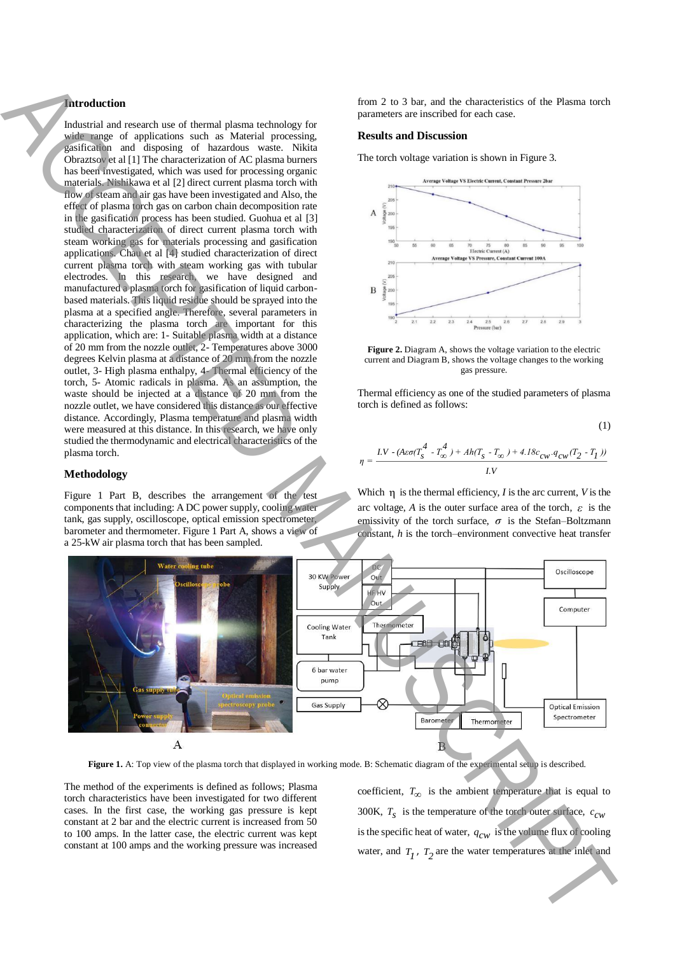### **Introduction**

Industrial and research use of thermal plasma technology for wide range of applications such as Material processing, gasification and disposing of hazardous waste. Nikita Obraztsov et al [1] The characterization of AC plasma burners has been investigated, which was used for processing organic materials. Nishikawa et al [2] direct current plasma torch with flow of steam and air gas have been investigated and Also, the effect of plasma torch gas on carbon chain decomposition rate in the gasification process has been studied. Guohua et al [3] studied characterization of direct current plasma torch with steam working gas for materials processing and gasification applications. Chau et al [4] studied characterization of direct current plasma torch with steam working gas with tubular electrodes. In this research, we have designed and manufactured a plasma torch for gasification of liquid carbonbased materials. This liquid residue should be sprayed into the plasma at a specified angle. Therefore, several parameters in characterizing the plasma torch are important for this application, which are: 1- Suitable plasma width at a distance of 20 mm from the nozzle outlet, 2- Temperatures above 3000 degrees Kelvin plasma at a distance of 20 mm from the nozzle outlet, 3- High plasma enthalpy, 4- Thermal efficiency of the torch, 5- Atomic radicals in plasma. As an assumption, the waste should be injected at a distance of 20 mm from the nozzle outlet, we have considered this distance as our effective distance. Accordingly, Plasma temperature and plasma width were measured at this distance. In this research, we have only studied the thermodynamic and electrical characteristics of the plasma torch.

### **Methodology**

Figure 1 Part B, describes the arrangement of the test components that including: A DC power supply, cooling water tank, gas supply, oscilloscope, optical emission spectrometer, barometer and thermometer. Figure 1 Part A, shows a view of a 25-kW air plasma torch that has been sampled.

from 2 to 3 bar, and the characteristics of the Plasma torch parameters are inscribed for each case.

#### **Results and Discussion**

The torch voltage variation is shown in Figure 3.



**Figure 2.** Diagram A, shows the voltage variation to the electric current and Diagram B, shows the voltage changes to the working gas pressure.

Thermal efficiency as one of the studied parameters of plasma torch is defined as follows:

$$
- (1)
$$

$$
\eta = \frac{LV \cdot (A\epsilon\sigma(T_S^4 - T_\infty^4) + Ah(T_S - T_\infty) + 4.18c_{CW} \cdot q_{CW}(T_2 - T_I))}{LV}
$$

Which  $\eta$  is the thermal efficiency, *I* is the arc current, *V* is the arc voltage, *A* is the outer surface area of the torch,  $\varepsilon$  is the emissivity of the torch surface,  $\sigma$  is the Stefan–Boltzmann constant, *h* is the torch–environment convective heat transfer



The method of the experiments is defined as follows; Plasma torch characteristics have been investigated for two different cases. In the first case, the working gas pressure is kept constant at 2 bar and the electric current is increased from 50 to 100 amps. In the latter case, the electric current was kept constant at 100 amps and the working pressure was increased

coefficient,  $T_{\infty}$  is the ambient temperature that is equal to 300K,  $T_s$  is the temperature of the torch outer surface,  $c_{cw}$ is the specific heat of water,  $q_{\text{cw}}$  is the volume flux of cooling water, and  $T_1$ ,  $T_2$  are the water temperatures at the inlet and